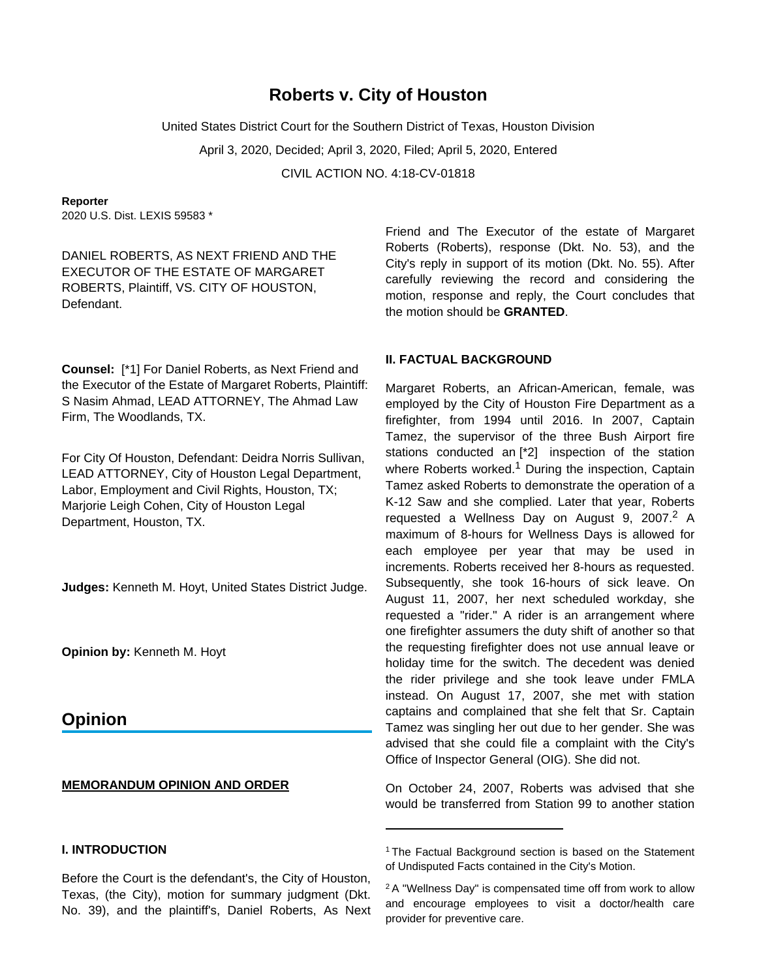# **Roberts v. City of Houston**

United States District Court for the Southern District of Texas, Houston Division

April 3, 2020, Decided; April 3, 2020, Filed; April 5, 2020, Entered

CIVIL ACTION NO. 4:18-CV-01818

#### **Reporter**

2020 U.S. Dist. LEXIS 59583 \*

DANIEL ROBERTS, AS NEXT FRIEND AND THE EXECUTOR OF THE ESTATE OF MARGARET ROBERTS, Plaintiff, VS. CITY OF HOUSTON, Defendant.

**Counsel:** [\*1] For Daniel Roberts, as Next Friend and the Executor of the Estate of Margaret Roberts, Plaintiff: S Nasim Ahmad, LEAD ATTORNEY, The Ahmad Law Firm, The Woodlands, TX.

For City Of Houston, Defendant: Deidra Norris Sullivan, LEAD ATTORNEY, City of Houston Legal Department, Labor, Employment and Civil Rights, Houston, TX; Marjorie Leigh Cohen, City of Houston Legal Department, Houston, TX.

**Judges:** Kenneth M. Hoyt, United States District Judge.

**Opinion by:** Kenneth M. Hoyt

# **Opinion**

#### **MEMORANDUM OPINION AND ORDER**

# **I. INTRODUCTION**

Before the Court is the defendant's, the City of Houston, Texas, (the City), motion for summary judgment (Dkt. No. 39), and the plaintiff's, Daniel Roberts, As Next Friend and The Executor of the estate of Margaret Roberts (Roberts), response (Dkt. No. 53), and the City's reply in support of its motion (Dkt. No. 55). After carefully reviewing the record and considering the motion, response and reply, the Court concludes that the motion should be **GRANTED**.

## **II. FACTUAL BACKGROUND**

Margaret Roberts, an African-American, female, was employed by the City of Houston Fire Department as a firefighter, from 1994 until 2016. In 2007, Captain Tamez, the supervisor of the three Bush Airport fire stations conducted an [\*2] inspection of the station where Roberts worked.<sup>1</sup> During the inspection, Captain Tamez asked Roberts to demonstrate the operation of a K-12 Saw and she complied. Later that year, Roberts requested a Wellness Day on August 9, 2007.<sup>2</sup> A maximum of 8-hours for Wellness Days is allowed for each employee per year that may be used in increments. Roberts received her 8-hours as requested. Subsequently, she took 16-hours of sick leave. On August 11, 2007, her next scheduled workday, she requested a "rider." A rider is an arrangement where one firefighter assumers the duty shift of another so that the requesting firefighter does not use annual leave or holiday time for the switch. The decedent was denied the rider privilege and she took leave under FMLA instead. On August 17, 2007, she met with station captains and complained that she felt that Sr. Captain Tamez was singling her out due to her gender. She was advised that she could file a complaint with the City's Office of Inspector General (OIG). She did not.

On October 24, 2007, Roberts was advised that she would be transferred from Station 99 to another station

<sup>&</sup>lt;sup>1</sup>The Factual Background section is based on the Statement of Undisputed Facts contained in the City's Motion.

<sup>2</sup>A "Wellness Day" is compensated time off from work to allow and encourage employees to visit a doctor/health care provider for preventive care.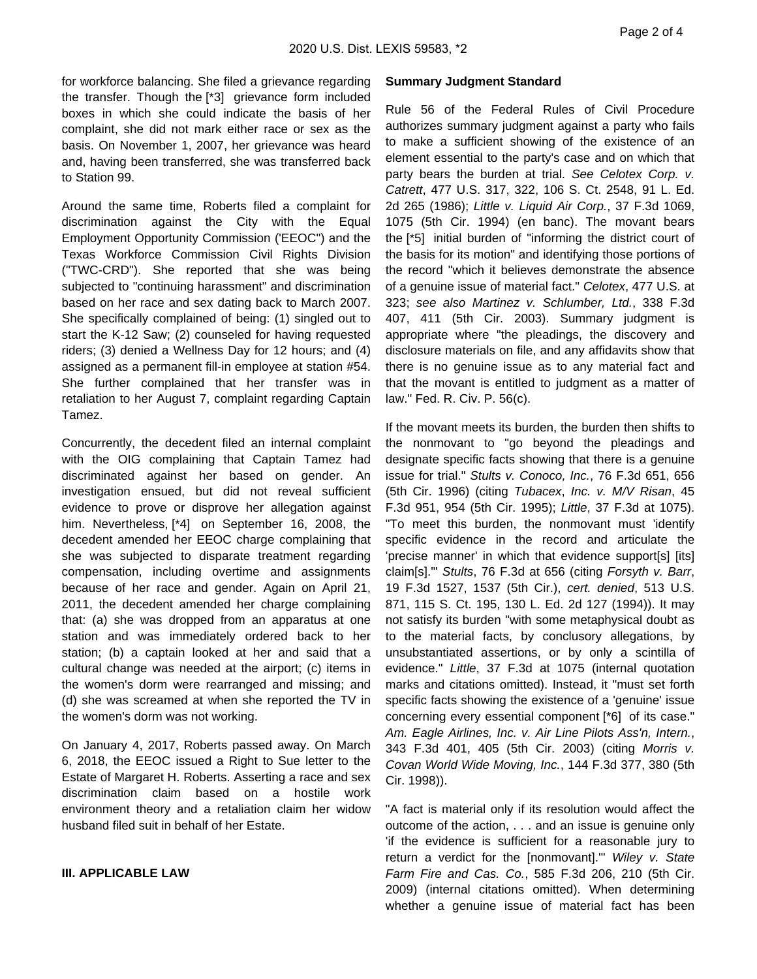for workforce balancing. She filed a grievance regarding the transfer. Though the [\*3] grievance form included boxes in which she could indicate the basis of her complaint, she did not mark either race or sex as the basis. On November 1, 2007, her grievance was heard and, having been transferred, she was transferred back to Station 99.

Around the same time, Roberts filed a complaint for discrimination against the City with the Equal Employment Opportunity Commission ('EEOC") and the Texas Workforce Commission Civil Rights Division ("TWC-CRD"). She reported that she was being subjected to "continuing harassment" and discrimination based on her race and sex dating back to March 2007. She specifically complained of being: (1) singled out to start the K-12 Saw; (2) counseled for having requested riders; (3) denied a Wellness Day for 12 hours; and (4) assigned as a permanent fill-in employee at station #54. She further complained that her transfer was in retaliation to her August 7, complaint regarding Captain Tamez.

Concurrently, the decedent filed an internal complaint with the OIG complaining that Captain Tamez had discriminated against her based on gender. An investigation ensued, but did not reveal sufficient evidence to prove or disprove her allegation against him. Nevertheless, [\*4] on September 16, 2008, the decedent amended her EEOC charge complaining that she was subjected to disparate treatment regarding compensation, including overtime and assignments because of her race and gender. Again on April 21, 2011, the decedent amended her charge complaining that: (a) she was dropped from an apparatus at one station and was immediately ordered back to her station; (b) a captain looked at her and said that a cultural change was needed at the airport; (c) items in the women's dorm were rearranged and missing; and (d) she was screamed at when she reported the TV in the women's dorm was not working.

On January 4, 2017, Roberts passed away. On March 6, 2018, the EEOC issued a Right to Sue letter to the Estate of Margaret H. Roberts. Asserting a race and sex discrimination claim based on a hostile work environment theory and a retaliation claim her widow husband filed suit in behalf of her Estate.

#### **III. APPLICABLE LAW**

#### **Summary Judgment Standard**

Rule 56 of the Federal Rules of Civil Procedure authorizes summary judgment against a party who fails to make a sufficient showing of the existence of an element essential to the party's case and on which that party bears the burden at trial. See Celotex Corp. v. Catrett, 477 U.S. 317, 322, 106 S. Ct. 2548, 91 L. Ed. 2d 265 (1986); Little v. Liquid Air Corp., 37 F.3d 1069, 1075 (5th Cir. 1994) (en banc). The movant bears the [\*5] initial burden of "informing the district court of the basis for its motion" and identifying those portions of the record "which it believes demonstrate the absence of a genuine issue of material fact." Celotex, 477 U.S. at 323; see also Martinez v. Schlumber, Ltd., 338 F.3d 407, 411 (5th Cir. 2003). Summary judgment is appropriate where "the pleadings, the discovery and disclosure materials on file, and any affidavits show that there is no genuine issue as to any material fact and that the movant is entitled to judgment as a matter of law." Fed. R. Civ. P. 56(c).

If the movant meets its burden, the burden then shifts to the nonmovant to "go beyond the pleadings and designate specific facts showing that there is a genuine issue for trial." Stults v. Conoco, Inc., 76 F.3d 651, 656 (5th Cir. 1996) (citing Tubacex, Inc. v. M/V Risan, 45 F.3d 951, 954 (5th Cir. 1995); Little, 37 F.3d at 1075). "To meet this burden, the nonmovant must 'identify specific evidence in the record and articulate the 'precise manner' in which that evidence support[s] [its] claim[s].'" Stults, 76 F.3d at 656 (citing Forsyth v. Barr, 19 F.3d 1527, 1537 (5th Cir.), cert. denied, 513 U.S. 871, 115 S. Ct. 195, 130 L. Ed. 2d 127 (1994)). It may not satisfy its burden "with some metaphysical doubt as to the material facts, by conclusory allegations, by unsubstantiated assertions, or by only a scintilla of evidence." Little, 37 F.3d at 1075 (internal quotation marks and citations omitted). Instead, it "must set forth specific facts showing the existence of a 'genuine' issue concerning every essential component [\*6] of its case." Am. Eagle Airlines, Inc. v. Air Line Pilots Ass'n, Intern., 343 F.3d 401, 405 (5th Cir. 2003) (citing Morris v. Covan World Wide Moving, Inc., 144 F.3d 377, 380 (5th Cir. 1998)).

"A fact is material only if its resolution would affect the outcome of the action, . . . and an issue is genuine only 'if the evidence is sufficient for a reasonable jury to return a verdict for the [nonmovant].'" Wiley v. State Farm Fire and Cas. Co., 585 F.3d 206, 210 (5th Cir. 2009) (internal citations omitted). When determining whether a genuine issue of material fact has been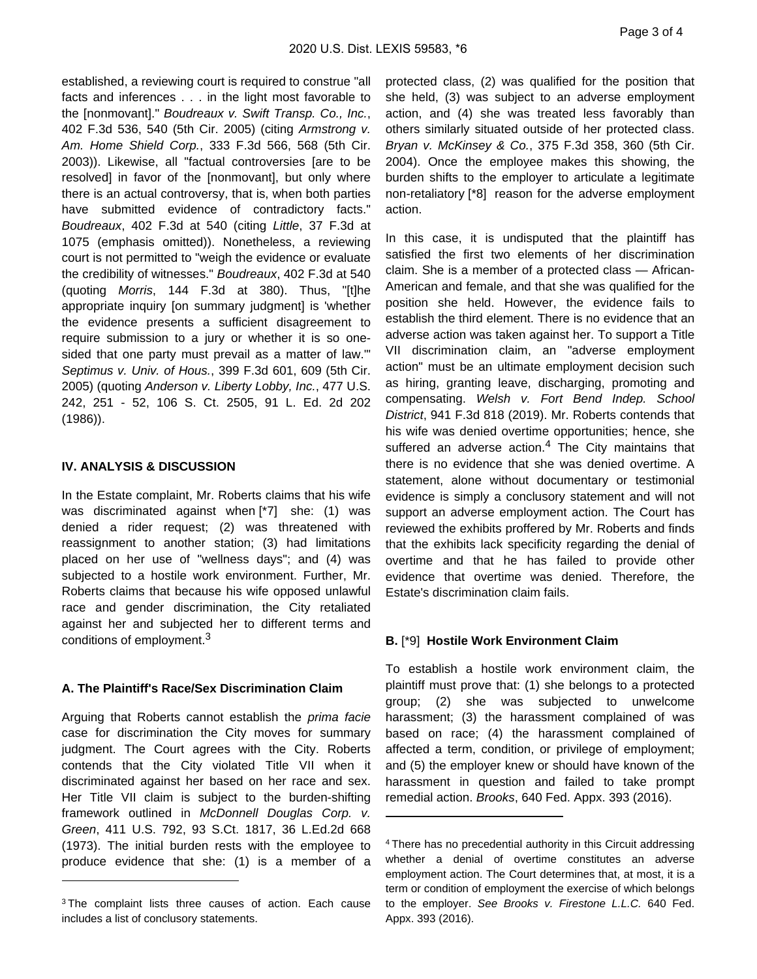established, a reviewing court is required to construe "all facts and inferences . . . in the light most favorable to the [nonmovant]." Boudreaux v. Swift Transp. Co., Inc., 402 F.3d 536, 540 (5th Cir. 2005) (citing Armstrong v. Am. Home Shield Corp., 333 F.3d 566, 568 (5th Cir. 2003)). Likewise, all "factual controversies [are to be resolved] in favor of the [nonmovant], but only where there is an actual controversy, that is, when both parties have submitted evidence of contradictory facts." Boudreaux, 402 F.3d at 540 (citing Little, 37 F.3d at 1075 (emphasis omitted)). Nonetheless, a reviewing court is not permitted to "weigh the evidence or evaluate the credibility of witnesses." Boudreaux, 402 F.3d at 540 (quoting Morris, 144 F.3d at 380). Thus, "[t]he appropriate inquiry [on summary judgment] is 'whether the evidence presents a sufficient disagreement to require submission to a jury or whether it is so onesided that one party must prevail as a matter of law.'" Septimus v. Univ. of Hous., 399 F.3d 601, 609 (5th Cir. 2005) (quoting Anderson v. Liberty Lobby, Inc., 477 U.S. 242, 251 - 52, 106 S. Ct. 2505, 91 L. Ed. 2d 202 (1986)).

### **IV. ANALYSIS & DISCUSSION**

In the Estate complaint, Mr. Roberts claims that his wife was discriminated against when [\*7] she: (1) was denied a rider request; (2) was threatened with reassignment to another station; (3) had limitations placed on her use of "wellness days"; and (4) was subjected to a hostile work environment. Further, Mr. Roberts claims that because his wife opposed unlawful race and gender discrimination, the City retaliated against her and subjected her to different terms and conditions of employment.<sup>3</sup>

### **A. The Plaintiff's Race/Sex Discrimination Claim**

Arguing that Roberts cannot establish the prima facie case for discrimination the City moves for summary judgment. The Court agrees with the City. Roberts contends that the City violated Title VII when it discriminated against her based on her race and sex. Her Title VII claim is subject to the burden-shifting framework outlined in McDonnell Douglas Corp. v. Green, 411 U.S. 792, 93 S.Ct. 1817, 36 L.Ed.2d 668 (1973). The initial burden rests with the employee to produce evidence that she: (1) is a member of a

protected class, (2) was qualified for the position that she held, (3) was subject to an adverse employment action, and (4) she was treated less favorably than others similarly situated outside of her protected class. Bryan v. McKinsey & Co., 375 F.3d 358, 360 (5th Cir. 2004). Once the employee makes this showing, the burden shifts to the employer to articulate a legitimate non-retaliatory [\*8] reason for the adverse employment action.

In this case, it is undisputed that the plaintiff has satisfied the first two elements of her discrimination claim. She is a member of a protected class — African-American and female, and that she was qualified for the position she held. However, the evidence fails to establish the third element. There is no evidence that an adverse action was taken against her. To support a Title VII discrimination claim, an "adverse employment action" must be an ultimate employment decision such as hiring, granting leave, discharging, promoting and compensating. Welsh v. Fort Bend Indep. School District, 941 F.3d 818 (2019). Mr. Roberts contends that his wife was denied overtime opportunities; hence, she suffered an adverse action.<sup>4</sup> The City maintains that there is no evidence that she was denied overtime. A statement, alone without documentary or testimonial evidence is simply a conclusory statement and will not support an adverse employment action. The Court has reviewed the exhibits proffered by Mr. Roberts and finds that the exhibits lack specificity regarding the denial of overtime and that he has failed to provide other evidence that overtime was denied. Therefore, the Estate's discrimination claim fails.

### **B.** [\*9] **Hostile Work Environment Claim**

To establish a hostile work environment claim, the plaintiff must prove that: (1) she belongs to a protected group; (2) she was subjected to unwelcome harassment; (3) the harassment complained of was based on race; (4) the harassment complained of affected a term, condition, or privilege of employment; and (5) the employer knew or should have known of the harassment in question and failed to take prompt remedial action. Brooks, 640 Fed. Appx. 393 (2016).

<sup>&</sup>lt;sup>3</sup>The complaint lists three causes of action. Each cause includes a list of conclusory statements.

<sup>4</sup>There has no precedential authority in this Circuit addressing whether a denial of overtime constitutes an adverse employment action. The Court determines that, at most, it is a term or condition of employment the exercise of which belongs to the employer. See Brooks v. Firestone L.L.C. 640 Fed. Appx. 393 (2016).